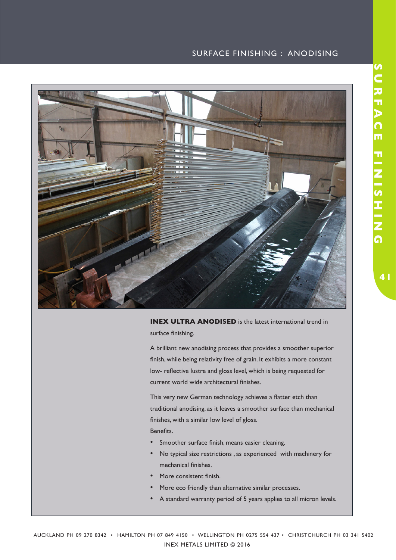## SURFACE FINISHING : ANODISING



**INEX ULTRA ANODISED** is the latest international trend in surface finishing.

A brilliant new anodising process that provides a smoother superior finish, while being relativity free of grain. It exhibits a more constant low- reflective lustre and gloss level, which is being requested for current world wide architectural finishes.

This very new German technology achieves a flatter etch than traditional anodising, as it leaves a smoother surface than mechanical finishes, with a similar low level of gloss.

Benefits.

- Smoother surface finish, means easier cleaning.
- No typical size restrictions , as experienced with machinery for mechanical finishes.
- More consistent finish.
- More eco friendly than alternative similar processes.
- A standard warranty period of 5 years applies to all micron levels.